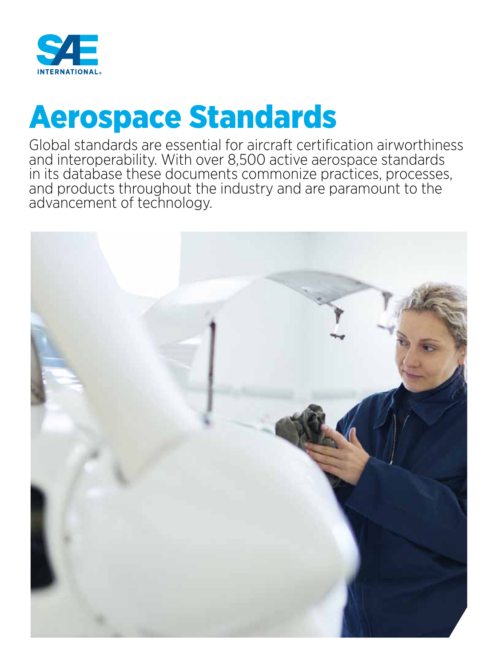

# Aerospace Standards

Global standards are essential for aircraft certification airworthiness and interoperability. With over 8,500 active aerospace standards in its database these documents commonize practices, processes, and products throughout the industry and are paramount to the advancement of technology.